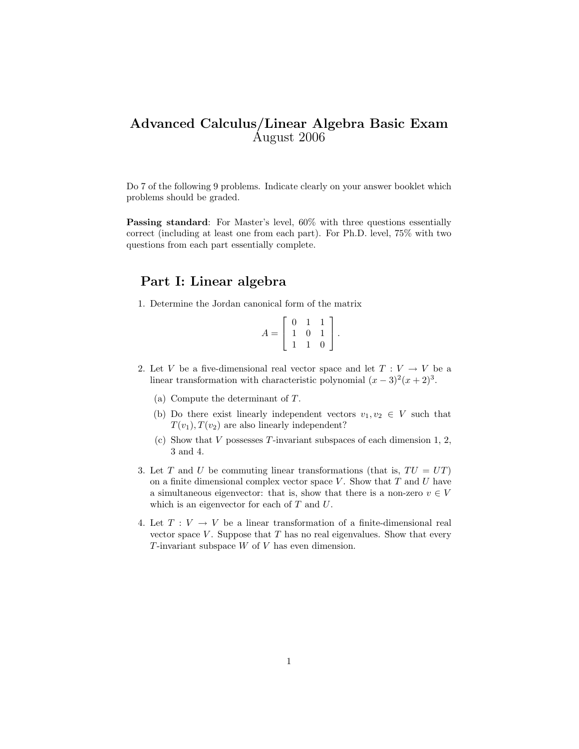## Advanced Calculus/Linear Algebra Basic Exam August 2006

Do 7 of the following 9 problems. Indicate clearly on your answer booklet which problems should be graded.

Passing standard: For Master's level,  $60\%$  with three questions essentially correct (including at least one from each part). For Ph.D. level, 75% with two questions from each part essentially complete.

## Part I: Linear algebra

1. Determine the Jordan canonical form of the matrix

$$
A = \left[ \begin{array}{rrr} 0 & 1 & 1 \\ 1 & 0 & 1 \\ 1 & 1 & 0 \end{array} \right].
$$

- 2. Let V be a five-dimensional real vector space and let  $T: V \to V$  be a linear transformation with characteristic polynomial  $(x-3)^2(x+2)^3$ .
	- (a) Compute the determinant of T.
	- (b) Do there exist linearly independent vectors  $v_1, v_2 \in V$  such that  $T(v_1), T(v_2)$  are also linearly independent?
	- (c) Show that  $V$  possesses  $T$ -invariant subspaces of each dimension 1, 2, 3 and 4.
- 3. Let T and U be commuting linear transformations (that is,  $TU = UT$ ) on a finite dimensional complex vector space  $V$ . Show that  $T$  and  $U$  have a simultaneous eigenvector: that is, show that there is a non-zero  $v \in V$ which is an eigenvector for each of  $T$  and  $U$ .
- 4. Let  $T: V \to V$  be a linear transformation of a finite-dimensional real vector space  $V$ . Suppose that  $T$  has no real eigenvalues. Show that every T-invariant subspace  $W$  of  $V$  has even dimension.